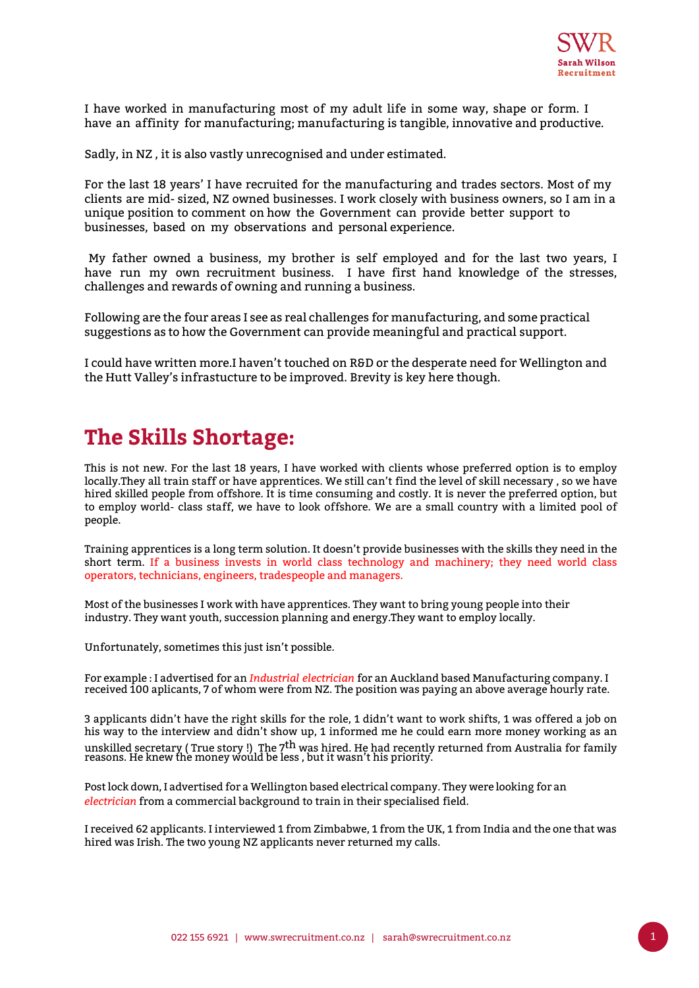

I have worked in manufacturing most of my adult life in some way, shape or form. I have an affinity for manufacturing; manufacturing is tangible, innovative and productive.

Sadly, in NZ , it is also vastly unrecognised and under estimated.

For the last 18 years' I have recruited for the manufacturing and trades sectors. Most of my clients are mid- sized, NZ owned businesses. I work closely with business owners, so I am in a unique position to comment on how the Government can provide better support to businesses, based on my observations and personal experience.

 My father owned a business, my brother is self employed and for the last two years, I have run my own recruitment business. I have first hand knowledge of the stresses, challenges and rewards of owning and running a business.

Following are the four areas I see as real challenges for manufacturing, and some practical suggestions as to how the Government can provide meaningful and practical support.

I could have written more.I haven't touched on R&D or the desperate need for Wellington and the Hutt Valley's infrastucture to be improved. Brevity is key here though.

### **The Skills Shortage:**

This is not new. For the last 18 years, I have worked with clients whose preferred option is to employ locally.They all train staff or have apprentices. We still can't find the level of skill necessary , so we have hired skilled people from offshore. It is time consuming and costly. It is never the preferred option, but to employ world- class staff, we have to look offshore. We are a small country with a limited pool of people.

Training apprentices is a long term solution. It doesn't provide businesses with the skills they need in the short term. If a business invests in world class technology and machinery; they need world class operators, technicians, engineers, tradespeople and managers.

Most of the businesses I work with have apprentices. They want to bring young people into their industry. They want youth, succession planning and energy.They want to employ locally.

Unfortunately, sometimes this just isn't possible.

For example : I advertised for an *Industrial electrician* for an Auckland based Manufacturing company. I received 100 aplicants, 7 of whom were from NZ. The position was paying an above average hourly rate.

3 applicants didn't have the right skills for the role, 1 didn't want to work shifts, 1 was offered a job on his way to the interview and didn't show up, 1 informed me he could earn more money working as an unskilled secretary ( True story !) The 7<sup>th</sup> was hired. He had recently returned from Australia for family<br>reasons. He knew the money would be less , but it wasn't his priority.

Post lock down, I advertised for a Wellington based electrical company. They were looking for an *electrician* from a commercial background to train in their specialised field.

I received 62 applicants. I interviewed 1 from Zimbabwe, 1 from the UK, 1 from India and the one that was hired was Irish. The two young NZ applicants never returned my calls.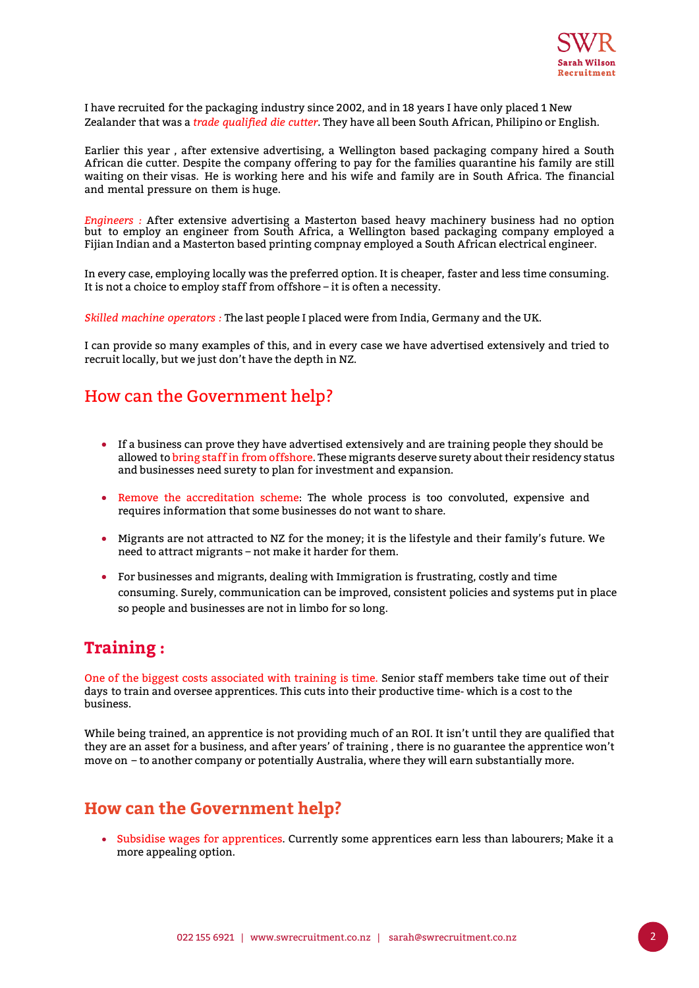

I have recruited for the packaging industry since 2002, and in 18 years I have only placed 1 New Zealander that was a *trade qualified die cutter*. They have all been South African, Philipino or English.

Earlier this year , after extensive advertising, a Wellington based packaging company hired a South African die cutter. Despite the company offering to pay for the families quarantine his family are still waiting on their visas. He is working here and his wife and family are in South Africa. The financial and mental pressure on them is huge.

*Engineers :* After extensive advertising a Masterton based heavy machinery business had no option but to employ an engineer from South Africa, a Wellington based packaging company employed a Fijian Indian and a Masterton based printing compnay employed a South African electrical engineer.

In every case, employing locally was the preferred option. It is cheaper, faster and less time consuming. It is not a choice to employ staff from offshore – it is often a necessity.

*Skilled machine operators :* The last people I placed were from India, Germany and the UK.

I can provide so many examples of this, and in every case we have advertised extensively and tried to recruit locally, but we just don't have the depth in NZ.

#### How can the Government help?

- If a business can prove they have advertised extensively and are training people they should be allowed to bring staff in from offshore. These migrants deserve surety about their residency status and businesses need surety to plan for investment and expansion.
- Remove the accreditation scheme: The whole process is too convoluted, expensive and requires information that some businesses do not want to share.
- Migrants are not attracted to NZ for the money; it is the lifestyle and their family's future. We need to attract migrants – not make it harder for them.
- For businesses and migrants, dealing with Immigration is frustrating, costly and time consuming. Surely, communication can be improved, consistent policies and systems put in place so people and businesses are not in limbo for so long.

#### **Training :**

One of the biggest costs associated with training is time. Senior staff members take time out of their days to train and oversee apprentices. This cuts into their productive time- which is a cost to the business.

While being trained, an apprentice is not providing much of an ROI. It isn't until they are qualified that they are an asset for a business, and after years' of training , there is no guarantee the apprentice won't move on – to another company or potentially Australia, where they will earn substantially more.

#### **How can the Government help?**

• Subsidise wages for apprentices. Currently some apprentices earn less than labourers; Make it a more appealing option.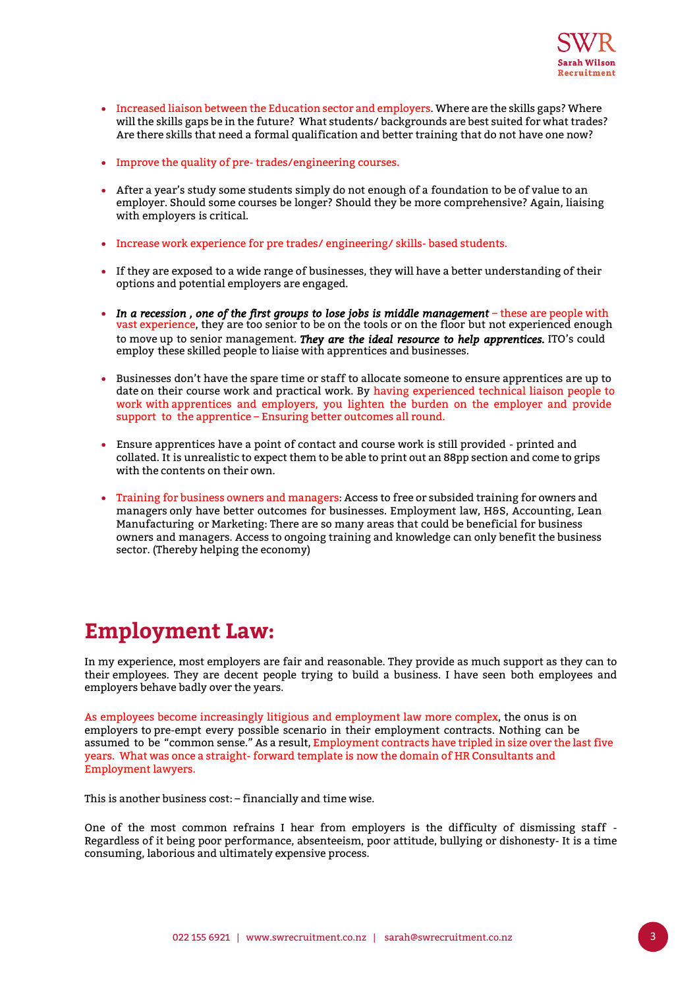

- Increased liaison between the Education sector and employers. Where are the skills gaps? Where will the skills gaps be in the future? What students/ backgrounds are best suited for what trades? Are there skills that need a formal qualification and better training that do not have one now?
- Improve the quality of pre- trades/engineering courses.
- After a year's study some students simply do not enough of a foundation to be of value to an employer. Should some courses be longer? Should they be more comprehensive? Again, liaising with employers is critical.
- Increase work experience for pre trades/ engineering/ skills- based students.
- If they are exposed to a wide range of businesses, they will have a better understanding of their options and potential employers are engaged.
- In a recession, one of the first groups to lose jobs is middle management these are people with vast experience, they are too senior to be on the tools or on the floor but not experienced enough to move up to senior management. *They are the ideal resource to help apprentices.* ITO's could employ these skilled people to liaise with apprentices and businesses.
- Businesses don't have the spare time or staff to allocate someone to ensure apprentices are up to date on their course work and practical work. By having experienced technical liaison people to work with apprentices and employers, you lighten the burden on the employer and provide support to the apprentice – Ensuring better outcomes all round.
- Ensure apprentices have a point of contact and course work is still provided printed and collated. It is unrealistic to expect them to be able to print out an 88pp section and come to grips with the contents on their own.
- Training for business owners and managers: Access to free or subsided training for owners and managers only have better outcomes for businesses. Employment law, H&S, Accounting, Lean Manufacturing or Marketing: There are so many areas that could be beneficial for business owners and managers. Access to ongoing training and knowledge can only benefit the business sector. (Thereby helping the economy)

# **Employment Law:**

In my experience, most employers are fair and reasonable. They provide as much support as they can to their employees. They are decent people trying to build a business. I have seen both employees and employers behave badly over the years.

As employees become increasingly litigious and employment law more complex, the onus is on employers to pre-empt every possible scenario in their employment contracts. Nothing can be assumed to be "common sense." As a result, Employment contracts have tripled in size over the last five years. What was once a straight- forward template is now the domain of HR Consultants and Employment lawyers.

This is another business cost: – financially and time wise.

One of the most common refrains I hear from employers is the difficulty of dismissing staff - Regardless of it being poor performance, absenteeism, poor attitude, bullying or dishonesty- It is a time consuming, laborious and ultimately expensive process.